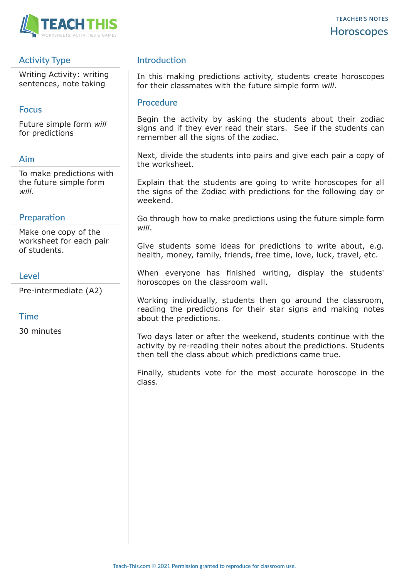

# **Activity Type**

Writing Activity: writing sentences, note taking

### **Focus**

Future simple form *will* for predictions

#### **Aim**

To make predictions with the future simple form *will*.

### **Preparation**

Make one copy of the worksheet for each pair of students.

#### **Level**

Pre-intermediate (A2)

#### **Time**

30 minutes

# **Introduction**

In this making predictions activity, students create horoscopes for their classmates with the future simple form *will*.

#### **Procedure**

Begin the activity by asking the students about their zodiac signs and if they ever read their stars. See if the students can remember all the signs of the zodiac.

Next, divide the students into pairs and give each pair a copy of the worksheet.

Explain that the students are going to write horoscopes for all the signs of the Zodiac with predictions for the following day or weekend.

Go through how to make predictions using the future simple form *will*.

Give students some ideas for predictions to write about, e.g. health, money, family, friends, free time, love, luck, travel, etc.

When everyone has finished writing, display the students' horoscopes on the classroom wall.

Working individually, students then go around the classroom, reading the predictions for their star signs and making notes about the predictions.

Two days later or after the weekend, students continue with the activity by re-reading their notes about the predictions. Students then tell the class about which predictions came true.

Finally, students vote for the most accurate horoscope in the class.